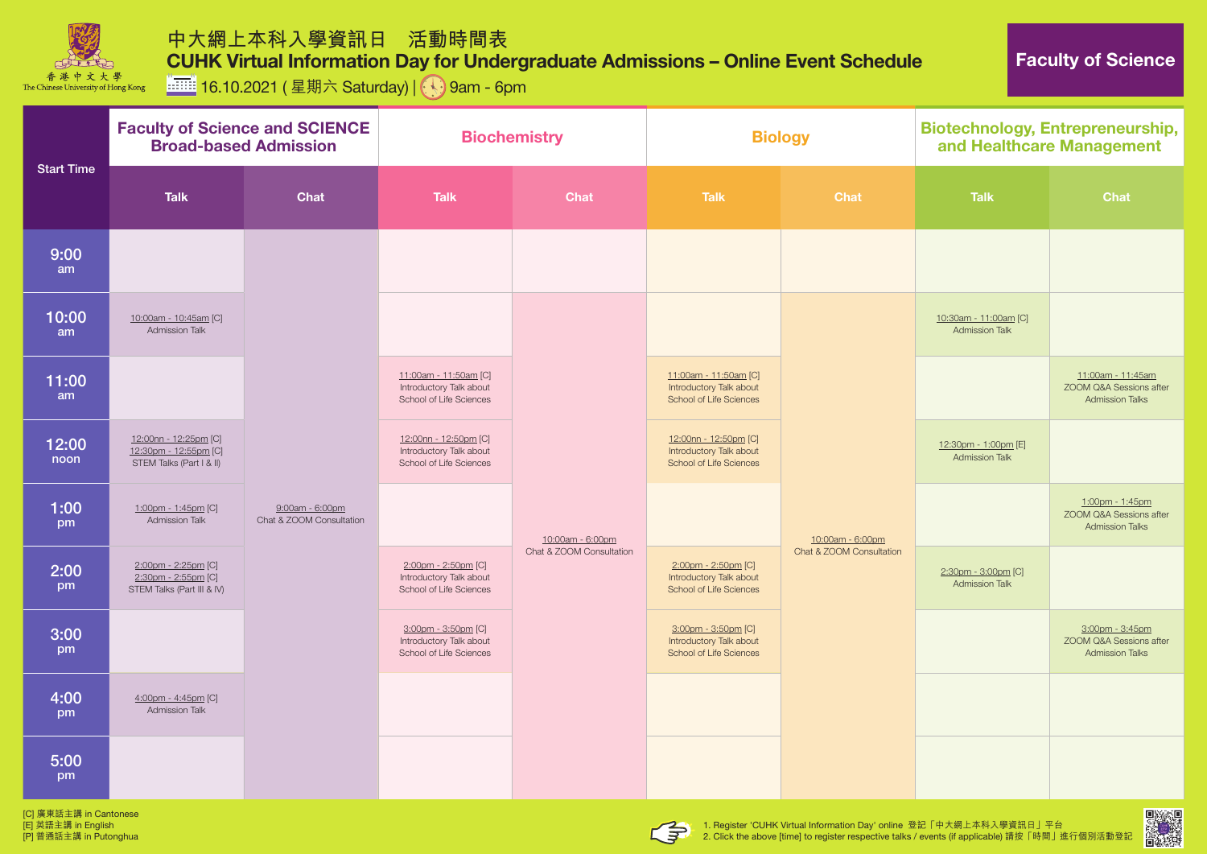

**ITHE 16.10.2021 ( 星期六 Saturday) | 9am - 6pm** 

[C] 廣東話主講 in Cantonese [E] 英語主講 in English [P] 普通話主講 in Putonghua





2. Click the above [time] to register respective talks / events (if applicable) 請按「時間」進行個別活動登記



| <b>Start Time</b>      | <b>Faculty of Science and SCIENCE</b><br><b>Broad-based Admission</b>      |                                             | <b>Biochemistry</b>                                                                |                          | <b>Biology</b>                                                                     |                                              | <b>Biotechnology, Entrepreneurship,</b><br>and Healthcare Management |                                                                        |
|------------------------|----------------------------------------------------------------------------|---------------------------------------------|------------------------------------------------------------------------------------|--------------------------|------------------------------------------------------------------------------------|----------------------------------------------|----------------------------------------------------------------------|------------------------------------------------------------------------|
|                        | <b>Talk</b>                                                                | <b>Chat</b>                                 | <b>Talk</b>                                                                        | <b>Chat</b>              | <b>Talk</b>                                                                        | <b>Chat</b>                                  | <b>Talk</b>                                                          | <b>Chat</b>                                                            |
| 9:00<br>am             |                                                                            |                                             |                                                                                    |                          |                                                                                    |                                              |                                                                      |                                                                        |
| 10:00<br>am            | 10:00am - 10:45am [C]<br>Admission Talk                                    |                                             |                                                                                    |                          |                                                                                    | 10:00am - 6:00pm<br>Chat & ZOOM Consultation | 10:30am - 11:00am [C]<br><b>Admission Talk</b>                       |                                                                        |
| 11:00<br>am            |                                                                            |                                             | 11:00am - 11:50am [C]<br>Introductory Talk about<br>School of Life Sciences        |                          | 11:00am - 11:50am [C]<br>Introductory Talk about<br><b>School of Life Sciences</b> |                                              |                                                                      | 11:00am - 11:45am<br>ZOOM Q&A Sessions after<br><b>Admission Talks</b> |
| 12:00<br>noon          | 12:00nn - 12:25pm [C]<br>12:30pm - 12:55pm [C]<br>STEM Talks (Part I & II) | 9:00am - 6:00pm<br>Chat & ZOOM Consultation | 12:00nn - 12:50pm [C]<br>Introductory Talk about<br><b>School of Life Sciences</b> | 10:00am - 6:00pm         | 12:00nn - 12:50pm [C]<br>Introductory Talk about<br><b>School of Life Sciences</b> |                                              | 12:30pm - 1:00pm [E]<br><b>Admission Talk</b>                        |                                                                        |
| 1:00<br>pm             | 1:00pm - 1:45pm [C]<br><b>Admission Talk</b>                               |                                             |                                                                                    |                          |                                                                                    |                                              |                                                                      | 1:00pm - 1:45pm<br>ZOOM Q&A Sessions after<br><b>Admission Talks</b>   |
| 2:00<br>pm             | 2:00pm - 2:25pm [C]<br>2:30pm - 2:55pm [C]<br>STEM Talks (Part III & IV)   |                                             | 2:00pm - 2:50pm [C]<br>Introductory Talk about<br>School of Life Sciences          | Chat & ZOOM Consultation | 2:00pm - 2:50pm [C]<br>Introductory Talk about<br><b>School of Life Sciences</b>   |                                              | 2:30pm - 3:00pm [C]<br><b>Admission Talk</b>                         |                                                                        |
| 3:00<br>pm             |                                                                            |                                             | 3:00pm - 3:50pm [C]<br>Introductory Talk about<br>School of Life Sciences          |                          | 3:00pm - 3:50pm [C]<br>Introductory Talk about<br><b>School of Life Sciences</b>   |                                              |                                                                      | 3:00pm - 3:45pm<br>ZOOM Q&A Sessions after<br><b>Admission Talks</b>   |
| 4:00<br>pm             | $4:00$ pm - $4:45$ pm [C]<br><b>Admission Talk</b>                         |                                             |                                                                                    |                          |                                                                                    |                                              |                                                                      |                                                                        |
| 5:00<br>pm             |                                                                            |                                             |                                                                                    |                          |                                                                                    |                                              |                                                                      |                                                                        |
| [C] 廣東話主講 in Cantonese |                                                                            |                                             |                                                                                    |                          |                                                                                    |                                              |                                                                      | 回波然回                                                                   |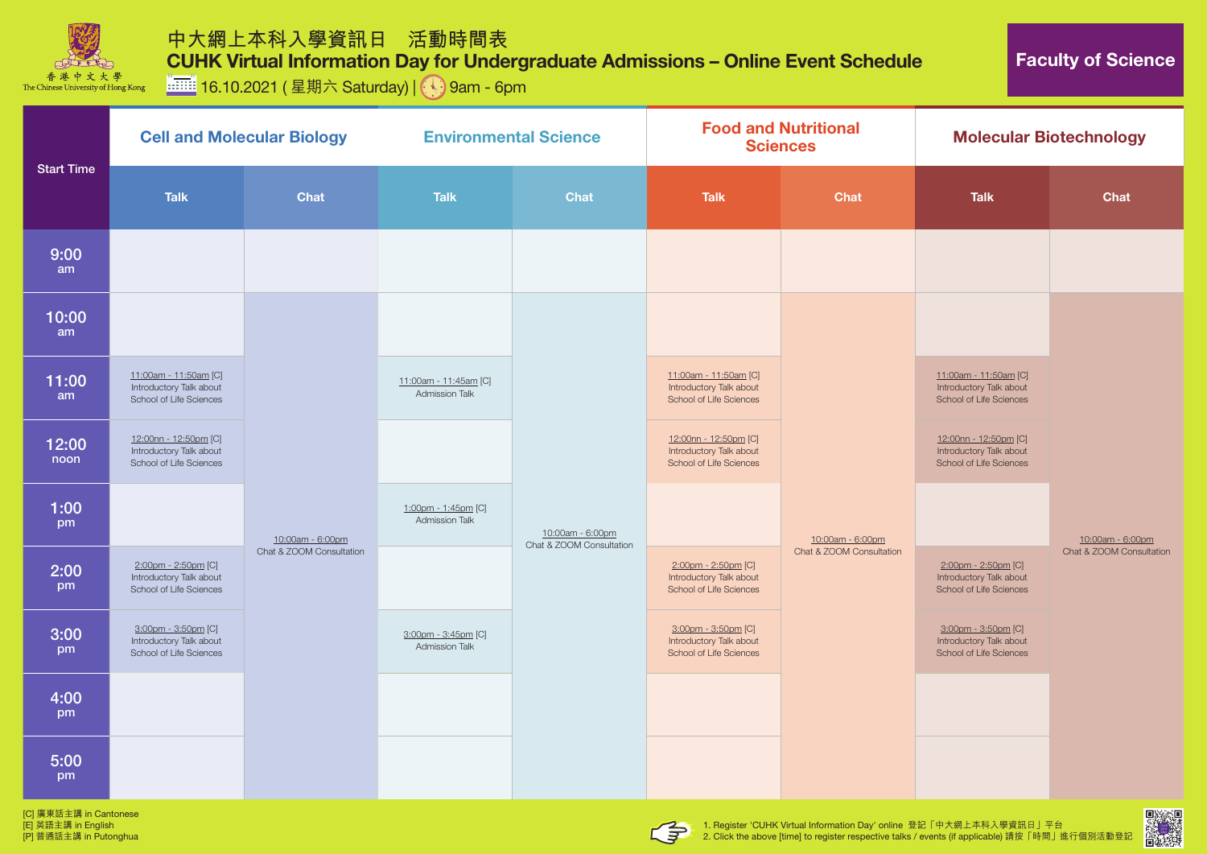

**iiiiiiii** 16.10.2021 (星期六 Saturday) | **9am - 6pm** 

[C] 廣東話主講 in Cantonese [E] 英語主講 in English [P] 普通話主講 in Putonghua





2. Click the above [time] to register respective talks / events (if applicable) 請按「時間」進行個別活動登記



| <b>Start Time</b> | <b>Cell and Molecular Biology</b>                                                |                          | <b>Environmental Science</b>                   |                                              | <b>Food and Nutritional</b><br><b>Sciences</b>                              |                                              | <b>Molecular Biotechnology</b>                                                     |                                              |
|-------------------|----------------------------------------------------------------------------------|--------------------------|------------------------------------------------|----------------------------------------------|-----------------------------------------------------------------------------|----------------------------------------------|------------------------------------------------------------------------------------|----------------------------------------------|
|                   | <b>Talk</b>                                                                      | <b>Chat</b>              | <b>Talk</b>                                    | <b>Chat</b>                                  | <b>Talk</b>                                                                 | <b>Chat</b>                                  | <b>Talk</b>                                                                        | <b>Chat</b>                                  |
| 9:00<br>am        |                                                                                  |                          |                                                |                                              |                                                                             |                                              |                                                                                    |                                              |
| 10:00<br>am       |                                                                                  |                          |                                                | 10:00am - 6:00pm<br>Chat & ZOOM Consultation |                                                                             | 10:00am - 6:00pm<br>Chat & ZOOM Consultation |                                                                                    | 10:00am - 6:00pm<br>Chat & ZOOM Consultation |
| 11:00<br>am       | 11:00am - 11:50am [C]<br>Introductory Talk about<br>School of Life Sciences      |                          | 11:00am - 11:45am [C]<br><b>Admission Talk</b> |                                              | 11:00am - 11:50am [C]<br>Introductory Talk about<br>School of Life Sciences |                                              | 11:00am - 11:50am [C]<br>Introductory Talk about<br>School of Life Sciences        |                                              |
| 12:00<br>noon     | 12:00nn - 12:50pm [C]<br>Introductory Talk about<br>School of Life Sciences      |                          |                                                |                                              | 12:00nn - 12:50pm [C]<br>Introductory Talk about<br>School of Life Sciences |                                              | 12:00nn - 12:50pm [C]<br>Introductory Talk about<br><b>School of Life Sciences</b> |                                              |
| 1:00<br>pm        |                                                                                  | 10:00am - 6:00pm         | 1:00pm - 1:45pm [C]<br><b>Admission Talk</b>   |                                              |                                                                             |                                              |                                                                                    |                                              |
| 2:00<br>pm        | 2:00pm - 2:50pm [C]<br>Introductory Talk about<br>School of Life Sciences        | Chat & ZOOM Consultation |                                                |                                              | 2:00pm - 2:50pm [C]<br>Introductory Talk about<br>School of Life Sciences   |                                              | 2:00pm - 2:50pm [C]<br>Introductory Talk about<br><b>School of Life Sciences</b>   |                                              |
| 3:00<br>pm        | 3:00pm - 3:50pm [C]<br>Introductory Talk about<br><b>School of Life Sciences</b> |                          | 3:00pm - 3:45pm [C]<br><b>Admission Talk</b>   |                                              | 3:00pm - 3:50pm [C]<br>Introductory Talk about<br>School of Life Sciences   |                                              | 3:00pm - 3:50pm [C]<br>Introductory Talk about<br><b>School of Life Sciences</b>   |                                              |
| 4:00<br>pm        |                                                                                  |                          |                                                |                                              |                                                                             |                                              |                                                                                    |                                              |
| 5:00<br>pm        |                                                                                  |                          |                                                |                                              |                                                                             |                                              |                                                                                    |                                              |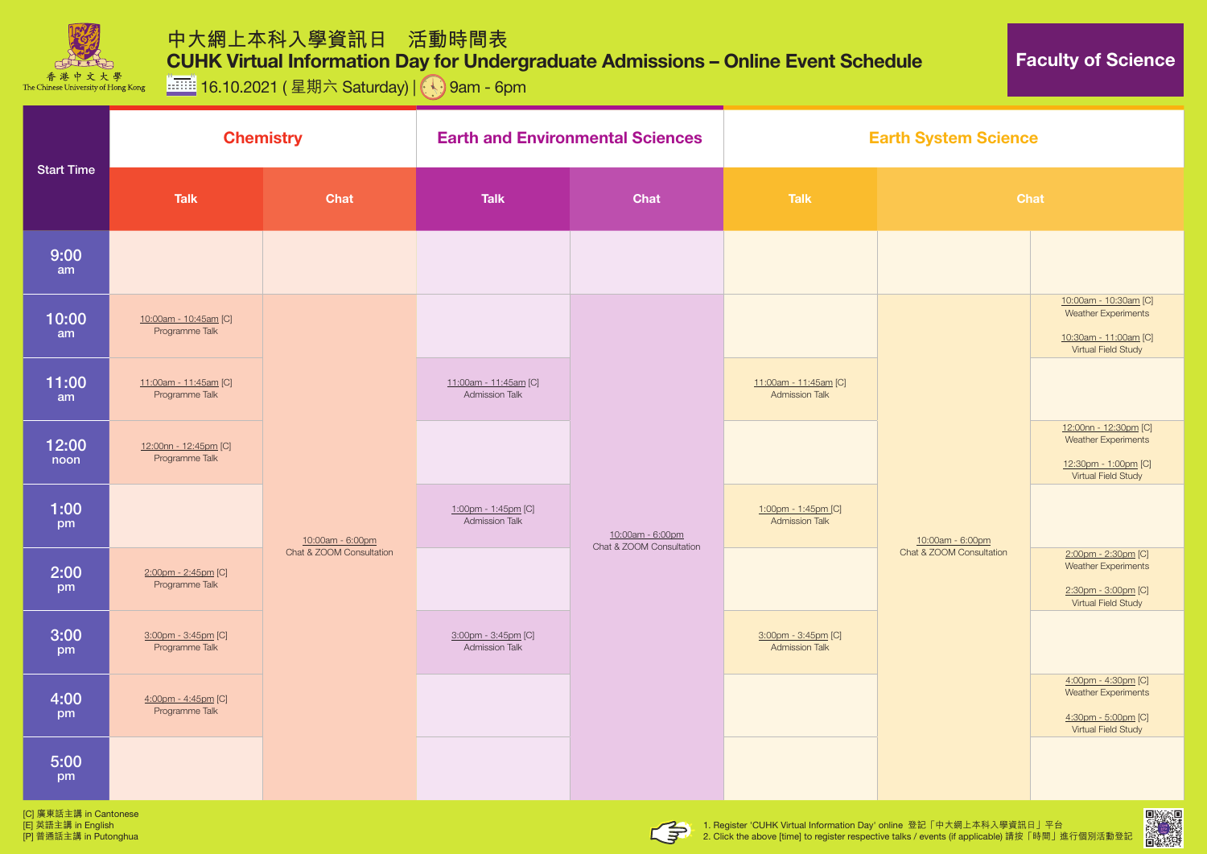

**iiiiiii** 16.10.2021 (星期六 Saturday) | 9am - 6pm

[C] 廣東話主講 in Cantonese [E] 英語主講 in English [P] 普通話主講 in Putonghua





## **System Science**

| <b>Start Time</b> |                                         | <b>Chemistry</b>                             | <b>Earth and Environmental Sciences</b>        |                                              | <b>Earth System Science</b>                    |                          |  |
|-------------------|-----------------------------------------|----------------------------------------------|------------------------------------------------|----------------------------------------------|------------------------------------------------|--------------------------|--|
|                   | <b>Talk</b>                             | <b>Chat</b>                                  | <b>Talk</b>                                    | <b>Chat</b>                                  | <b>Talk</b>                                    | <b>Chat</b>              |  |
| 9:00<br>am        |                                         |                                              |                                                |                                              |                                                |                          |  |
| 10:00<br>am       | 10:00am - 10:45am [C]<br>Programme Talk | 10:00am - 6:00pm<br>Chat & ZOOM Consultation |                                                | 10:00am - 6:00pm<br>Chat & ZOOM Consultation |                                                |                          |  |
| 11:00<br>am       | 11:00am - 11:45am [C]<br>Programme Talk |                                              | 11:00am - 11:45am [C]<br><b>Admission Talk</b> |                                              | 11:00am - 11:45am [C]<br><b>Admission Talk</b> |                          |  |
| 12:00<br>noon     | 12:00nn - 12:45pm [C]<br>Programme Talk |                                              |                                                |                                              |                                                | 10:00am - 6:00pm         |  |
| 1:00<br>pm        |                                         |                                              | 1:00pm - 1:45pm [C]<br><b>Admission Talk</b>   |                                              | 1:00pm - 1:45pm [C]<br><b>Admission Talk</b>   |                          |  |
| 2:00<br>pm        | 2:00pm - 2:45pm [C]<br>Programme Talk   |                                              |                                                |                                              |                                                | Chat & ZOOM Consultation |  |
| 3:00<br>pm        | 3:00pm - 3:45pm [C]<br>Programme Talk   |                                              | 3:00pm - 3:45pm [C]<br><b>Admission Talk</b>   |                                              | 3:00pm - 3:45pm [C]<br><b>Admission Talk</b>   |                          |  |
| 4:00<br>pm        | 4:00pm - 4:45pm [C]<br>Programme Talk   |                                              |                                                |                                              |                                                |                          |  |
| 5:00<br>pm        |                                         |                                              |                                                |                                              |                                                |                          |  |



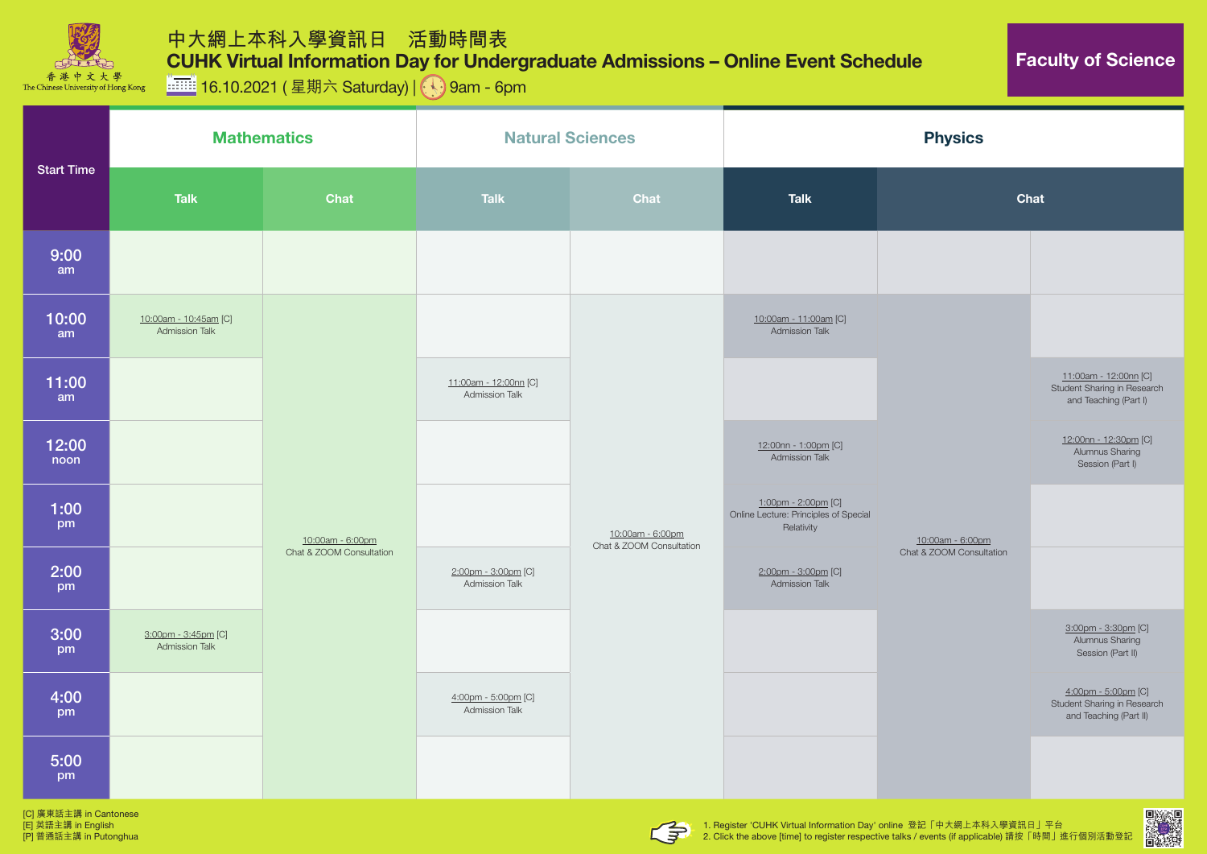

**iiiiiii** 16.10.2021 (星期六 Saturday) | 9am - 6pm

[C] 廣東話主講 in Cantonese [E] 英語主講 in English [P] 普通話主講 in Putonghua







| <b>Start Time</b> | <b>Mathematics</b>                             |                                              |                                              | <b>Natural Sciences</b>                      | <b>Physics</b>                                                             |                                              |                                                                                      |
|-------------------|------------------------------------------------|----------------------------------------------|----------------------------------------------|----------------------------------------------|----------------------------------------------------------------------------|----------------------------------------------|--------------------------------------------------------------------------------------|
|                   | <b>Talk</b><br><b>Chat</b>                     |                                              | <b>Talk</b><br>Chat                          |                                              | <b>Talk</b>                                                                | Chat                                         |                                                                                      |
| 9:00<br>am        |                                                |                                              |                                              |                                              |                                                                            |                                              |                                                                                      |
| 10:00<br>am       | 10:00am - 10:45am [C]<br><b>Admission Talk</b> | 10:00am - 6:00pm<br>Chat & ZOOM Consultation |                                              | 10:00am - 6:00pm<br>Chat & ZOOM Consultation | 10:00am - 11:00am [C]<br><b>Admission Talk</b>                             | 10:00am - 6:00pm<br>Chat & ZOOM Consultation |                                                                                      |
| 11:00<br>am       |                                                |                                              | 11:00am - 12:00nn [C]<br>Admission Talk      |                                              |                                                                            |                                              | 11:00am - 12:00nn [C]<br><b>Student Sharing in Research</b><br>and Teaching (Part I) |
| 12:00<br>noon     |                                                |                                              |                                              |                                              | 12:00nn - 1:00pm [C]<br><b>Admission Talk</b>                              |                                              | 12:00nn - 12:30pm [C]<br><b>Alumnus Sharing</b><br>Session (Part I)                  |
| 1:00<br>pm        |                                                |                                              |                                              |                                              | 1:00pm - 2:00pm [C]<br>Online Lecture: Principles of Special<br>Relativity |                                              |                                                                                      |
| 2:00<br>pm        |                                                |                                              | 2:00pm - 3:00pm [C]<br><b>Admission Talk</b> |                                              | 2:00pm - 3:00pm [C]<br><b>Admission Talk</b>                               |                                              |                                                                                      |
| 3:00<br>pm        | 3:00pm - 3:45pm [C]<br><b>Admission Talk</b>   |                                              |                                              |                                              |                                                                            |                                              | 3:00pm - 3:30pm [C]<br><b>Alumnus Sharing</b><br>Session (Part II)                   |
| 4:00<br>pm        |                                                |                                              | 4:00pm - 5:00pm [C]<br><b>Admission Talk</b> |                                              |                                                                            |                                              | 4:00pm - 5:00pm [C]<br><b>Student Sharing in Research</b><br>and Teaching (Part II)  |
| 5:00<br>pm        |                                                |                                              |                                              |                                              |                                                                            |                                              |                                                                                      |